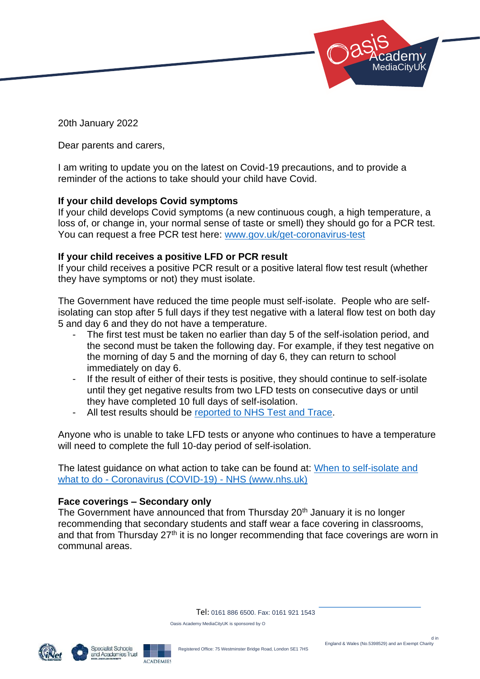

20th January 2022

Dear parents and carers,

I am writing to update you on the latest on Covid-19 precautions, and to provide a reminder of the actions to take should your child have Covid.

## **If your child develops Covid symptoms**

If your child develops Covid symptoms (a new continuous cough, a high temperature, a loss of, or change in, your normal sense of taste or smell) they should go for a PCR test. You can request a free PCR test here: [www.gov.uk/get-coronavirus-test](https://www.gov.uk/get-coronavirus-test)

## **If your child receives a positive LFD or PCR result**

If your child receives a positive PCR result or a positive lateral flow test result (whether they have symptoms or not) they must isolate.

The Government have reduced the time people must self-isolate. People who are selfisolating can stop after 5 full days if they test negative with a lateral flow test on both day 5 and day 6 and they do not have a temperature.

- The first test must be taken no earlier than day 5 of the self-isolation period, and the second must be taken the following day. For example, if they test negative on the morning of day 5 and the morning of day 6, they can return to school immediately on day 6.
- If the result of either of their tests is positive, they should continue to self-isolate until they get negative results from two LFD tests on consecutive days or until they have completed 10 full days of self-isolation.
- All test results should be [reported to NHS Test and Trace.](https://www.gov.uk/report-covid19-result?utm_source=14%20January%202022%20C19&utm_medium=Daily%20Email%20C19&utm_campaign=DfE%20C19)

Anyone who is unable to take LFD tests or anyone who continues to have a temperature will need to complete the full 10-day period of self-isolation.

The latest guidance on what action to take can be found at: When to self-isolate and what to do - Coronavirus (COVID-19) - NHS (www.nhs.uk)

## **Face coverings – Secondary only**

The Government have announced that from Thursday 20<sup>th</sup> January it is no longer recommending that secondary students and staff wear a face covering in classrooms, and that from Thursday 27<sup>th</sup> it is no longer recommending that face coverings are worn in communal areas.

Tel: 0161 886 6500. Fax: 0161 921 1543

Oasis Academy MediaCityUK is sponsored by O